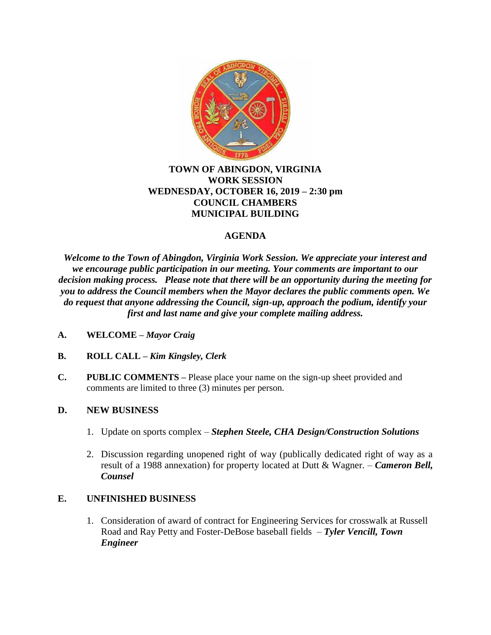

## **TOWN OF ABINGDON, VIRGINIA WORK SESSION WEDNESDAY, OCTOBER 16, 2019 – 2:30 pm COUNCIL CHAMBERS MUNICIPAL BUILDING**

## **AGENDA**

*Welcome to the Town of Abingdon, Virginia Work Session. We appreciate your interest and we encourage public participation in our meeting. Your comments are important to our decision making process. Please note that there will be an opportunity during the meeting for you to address the Council members when the Mayor declares the public comments open. We do request that anyone addressing the Council, sign-up, approach the podium, identify your first and last name and give your complete mailing address.*

- **A. WELCOME –** *Mayor Craig*
- **B. ROLL CALL –** *Kim Kingsley, Clerk*
- **C. PUBLIC COMMENTS –** Please place your name on the sign-up sheet provided and comments are limited to three (3) minutes per person.

## **D. NEW BUSINESS**

- 1. Update on sports complex *Stephen Steele, CHA Design/Construction Solutions*
- 2. Discussion regarding unopened right of way (publically dedicated right of way as a result of a 1988 annexation) for property located at Dutt & Wagner. – *Cameron Bell, Counsel*

## **E. UNFINISHED BUSINESS**

1. Consideration of award of contract for Engineering Services for crosswalk at Russell Road and Ray Petty and Foster-DeBose baseball fields – *Tyler Vencill, Town Engineer*